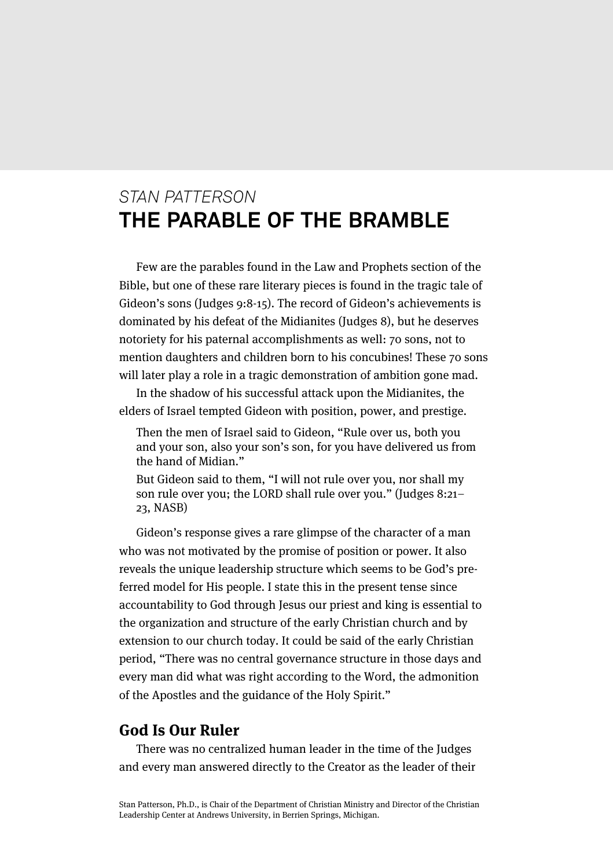# *STAN PATTERSON* **THE PARABLE OF THE BRAMBLE**

Few are the parables found in the Law and Prophets section of the Bible, but one of these rare literary pieces is found in the tragic tale of Gideon's sons (Judges 9:8-15). The record of Gideon's achievements is dominated by his defeat of the Midianites (Judges 8), but he deserves notoriety for his paternal accomplishments as well: 70 sons, not to mention daughters and children born to his concubines! These 70 sons will later play a role in a tragic demonstration of ambition gone mad.

In the shadow of his successful attack upon the Midianites, the elders of Israel tempted Gideon with position, power, and prestige.

Then the men of Israel said to Gideon, "Rule over us, both you and your son, also your son's son, for you have delivered us from the hand of Midian."

But Gideon said to them, "I will not rule over you, nor shall my son rule over you; the LORD shall rule over you." (Judges 8:21– 23, NASB)

Gideon's response gives a rare glimpse of the character of a man who was not motivated by the promise of position or power. It also reveals the unique leadership structure which seems to be God's preferred model for His people. I state this in the present tense since accountability to God through Jesus our priest and king is essential to the organization and structure of the early Christian church and by extension to our church today. It could be said of the early Christian period, "There was no central governance structure in those days and every man did what was right according to the Word, the admonition of the Apostles and the guidance of the Holy Spirit."

# **God Is Our Ruler**

There was no centralized human leader in the time of the Judges and every man answered directly to the Creator as the leader of their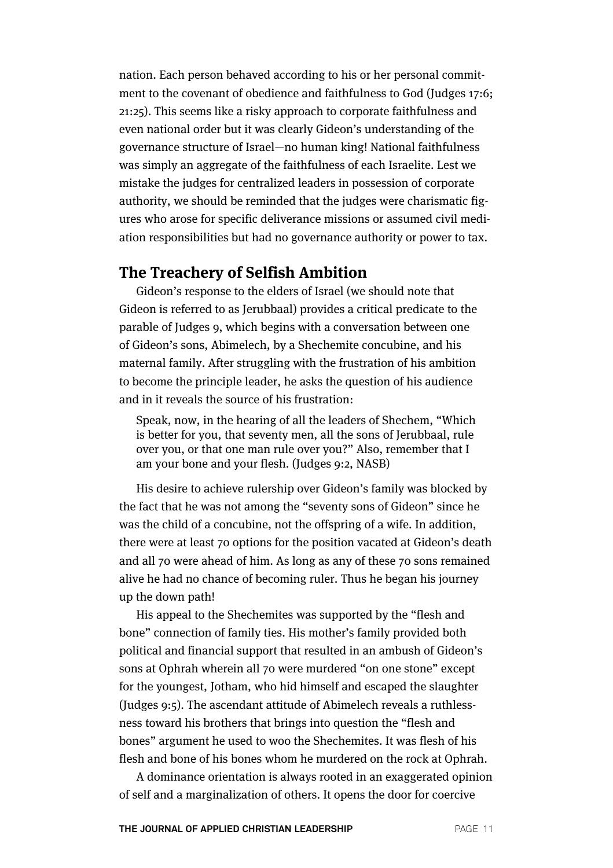nation. Each person behaved according to his or her personal commitment to the covenant of obedience and faithfulness to God (Judges 17:6; 21:25). This seems like a risky approach to corporate faithfulness and even national order but it was clearly Gideon's understanding of the governance structure of Israel—no human king! National faithfulness was simply an aggregate of the faithfulness of each Israelite. Lest we mistake the judges for centralized leaders in possession of corporate authority, we should be reminded that the judges were charismatic figures who arose for specific deliverance missions or assumed civil mediation responsibilities but had no governance authority or power to tax.

### **The Treachery of Selfish Ambition**

Gideon's response to the elders of Israel (we should note that Gideon is referred to as Jerubbaal) provides a critical predicate to the parable of Judges 9, which begins with a conversation between one of Gideon's sons, Abimelech, by a Shechemite concubine, and his maternal family. After struggling with the frustration of his ambition to become the principle leader, he asks the question of his audience and in it reveals the source of his frustration:

Speak, now, in the hearing of all the leaders of Shechem, "Which is better for you, that seventy men, all the sons of Jerubbaal, rule over you, or that one man rule over you?" Also, remember that I am your bone and your flesh. (Judges 9:2, NASB)

His desire to achieve rulership over Gideon's family was blocked by the fact that he was not among the "seventy sons of Gideon" since he was the child of a concubine, not the offspring of a wife. In addition, there were at least 70 options for the position vacated at Gideon's death and all 70 were ahead of him. As long as any of these 70 sons remained alive he had no chance of becoming ruler. Thus he began his journey up the down path!

His appeal to the Shechemites was supported by the "flesh and bone" connection of family ties. His mother's family provided both political and financial support that resulted in an ambush of Gideon's sons at Ophrah wherein all 70 were murdered "on one stone" except for the youngest, Jotham, who hid himself and escaped the slaughter (Judges 9:5). The ascendant attitude of Abimelech reveals a ruthlessness toward his brothers that brings into question the "flesh and bones" argument he used to woo the Shechemites. It was flesh of his flesh and bone of his bones whom he murdered on the rock at Ophrah.

A dominance orientation is always rooted in an exaggerated opinion of self and a marginalization of others. It opens the door for coercive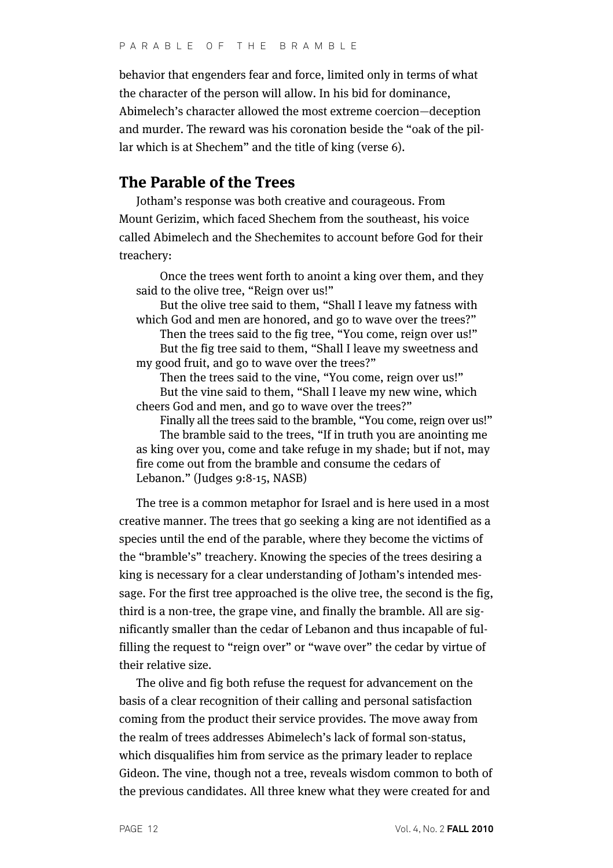behavior that engenders fear and force, limited only in terms of what the character of the person will allow. In his bid for dominance, Abimelech's character allowed the most extreme coercion—deception and murder. The reward was his coronation beside the "oak of the pillar which is at Shechem" and the title of king (verse 6).

## **The Parable of the Trees**

Jotham's response was both creative and courageous. From Mount Gerizim, which faced Shechem from the southeast, his voice called Abimelech and the Shechemites to account before God for their treachery:

Once the trees went forth to anoint a king over them, and they said to the olive tree, "Reign over us!"

But the olive tree said to them, "Shall I leave my fatness with which God and men are honored, and go to wave over the trees?"

Then the trees said to the fig tree, "You come, reign over us!" But the fig tree said to them, "Shall I leave my sweetness and my good fruit, and go to wave over the trees?"

Then the trees said to the vine, "You come, reign over us!" But the vine said to them, "Shall I leave my new wine, which cheers God and men, and go to wave over the trees?"

Finally all the trees said to the bramble, "You come, reign over us!" The bramble said to the trees, "If in truth you are anointing me as king over you, come and take refuge in my shade; but if not, may fire come out from the bramble and consume the cedars of Lebanon." (Judges 9:8-15, NASB)

The tree is a common metaphor for Israel and is here used in a most creative manner. The trees that go seeking a king are not identified as a species until the end of the parable, where they become the victims of the "bramble's" treachery. Knowing the species of the trees desiring a king is necessary for a clear understanding of Jotham's intended message. For the first tree approached is the olive tree, the second is the fig, third is a non-tree, the grape vine, and finally the bramble. All are significantly smaller than the cedar of Lebanon and thus incapable of fulfilling the request to "reign over" or "wave over" the cedar by virtue of their relative size.

The olive and fig both refuse the request for advancement on the basis of a clear recognition of their calling and personal satisfaction coming from the product their service provides. The move away from the realm of trees addresses Abimelech's lack of formal son-status, which disqualifies him from service as the primary leader to replace Gideon. The vine, though not a tree, reveals wisdom common to both of the previous candidates. All three knew what they were created for and